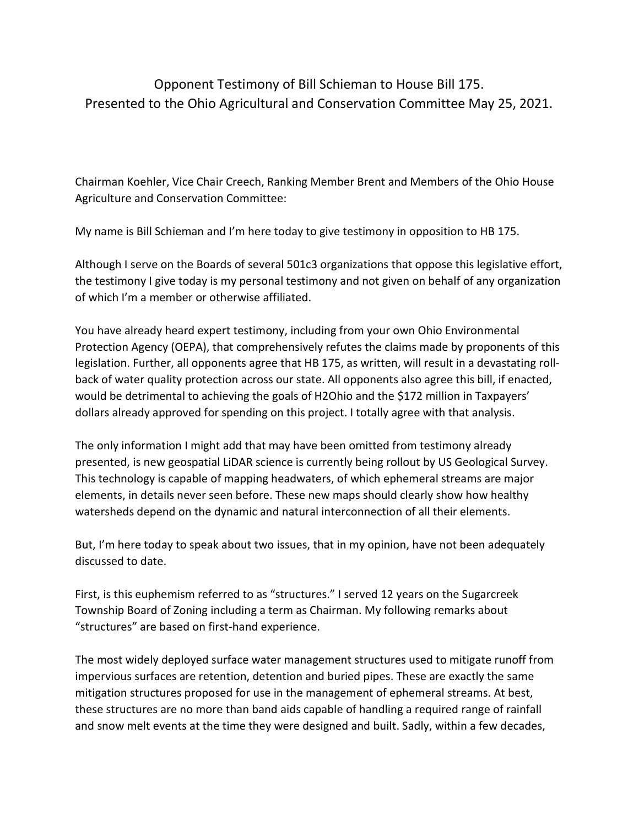## Opponent Testimony of Bill Schieman to House Bill 175. Presented to the Ohio Agricultural and Conservation Committee May 25, 2021.

Chairman Koehler, Vice Chair Creech, Ranking Member Brent and Members of the Ohio House Agriculture and Conservation Committee:

My name is Bill Schieman and I'm here today to give testimony in opposition to HB 175.

Although I serve on the Boards of several 501c3 organizations that oppose this legislative effort, the testimony I give today is my personal testimony and not given on behalf of any organization of which I'm a member or otherwise affiliated.

You have already heard expert testimony, including from your own Ohio Environmental Protection Agency (OEPA), that comprehensively refutes the claims made by proponents of this legislation. Further, all opponents agree that HB 175, as written, will result in a devastating rollback of water quality protection across our state. All opponents also agree this bill, if enacted, would be detrimental to achieving the goals of H2Ohio and the \$172 million in Taxpayers' dollars already approved for spending on this project. I totally agree with that analysis.

The only information I might add that may have been omitted from testimony already presented, is new geospatial LiDAR science is currently being rollout by US Geological Survey. This technology is capable of mapping headwaters, of which ephemeral streams are major elements, in details never seen before. These new maps should clearly show how healthy watersheds depend on the dynamic and natural interconnection of all their elements.

But, I'm here today to speak about two issues, that in my opinion, have not been adequately discussed to date.

First, is this euphemism referred to as "structures." I served 12 years on the Sugarcreek Township Board of Zoning including a term as Chairman. My following remarks about "structures" are based on first-hand experience.

The most widely deployed surface water management structures used to mitigate runoff from impervious surfaces are retention, detention and buried pipes. These are exactly the same mitigation structures proposed for use in the management of ephemeral streams. At best, these structures are no more than band aids capable of handling a required range of rainfall and snow melt events at the time they were designed and built. Sadly, within a few decades,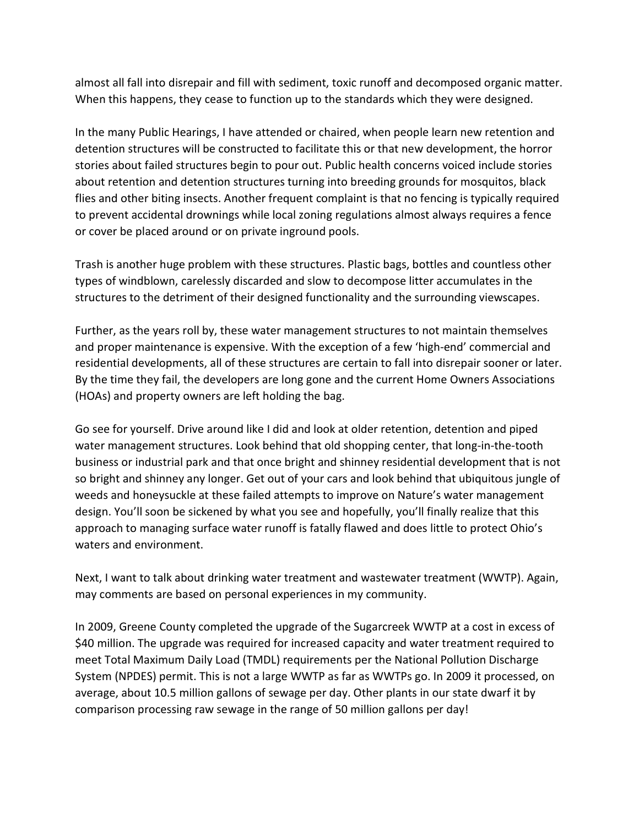almost all fall into disrepair and fill with sediment, toxic runoff and decomposed organic matter. When this happens, they cease to function up to the standards which they were designed.

In the many Public Hearings, I have attended or chaired, when people learn new retention and detention structures will be constructed to facilitate this or that new development, the horror stories about failed structures begin to pour out. Public health concerns voiced include stories about retention and detention structures turning into breeding grounds for mosquitos, black flies and other biting insects. Another frequent complaint is that no fencing is typically required to prevent accidental drownings while local zoning regulations almost always requires a fence or cover be placed around or on private inground pools.

Trash is another huge problem with these structures. Plastic bags, bottles and countless other types of windblown, carelessly discarded and slow to decompose litter accumulates in the structures to the detriment of their designed functionality and the surrounding viewscapes.

Further, as the years roll by, these water management structures to not maintain themselves and proper maintenance is expensive. With the exception of a few 'high-end' commercial and residential developments, all of these structures are certain to fall into disrepair sooner or later. By the time they fail, the developers are long gone and the current Home Owners Associations (HOAs) and property owners are left holding the bag.

Go see for yourself. Drive around like I did and look at older retention, detention and piped water management structures. Look behind that old shopping center, that long-in-the-tooth business or industrial park and that once bright and shinney residential development that is not so bright and shinney any longer. Get out of your cars and look behind that ubiquitous jungle of weeds and honeysuckle at these failed attempts to improve on Nature's water management design. You'll soon be sickened by what you see and hopefully, you'll finally realize that this approach to managing surface water runoff is fatally flawed and does little to protect Ohio's waters and environment.

Next, I want to talk about drinking water treatment and wastewater treatment (WWTP). Again, may comments are based on personal experiences in my community.

In 2009, Greene County completed the upgrade of the Sugarcreek WWTP at a cost in excess of \$40 million. The upgrade was required for increased capacity and water treatment required to meet Total Maximum Daily Load (TMDL) requirements per the National Pollution Discharge System (NPDES) permit. This is not a large WWTP as far as WWTPs go. In 2009 it processed, on average, about 10.5 million gallons of sewage per day. Other plants in our state dwarf it by comparison processing raw sewage in the range of 50 million gallons per day!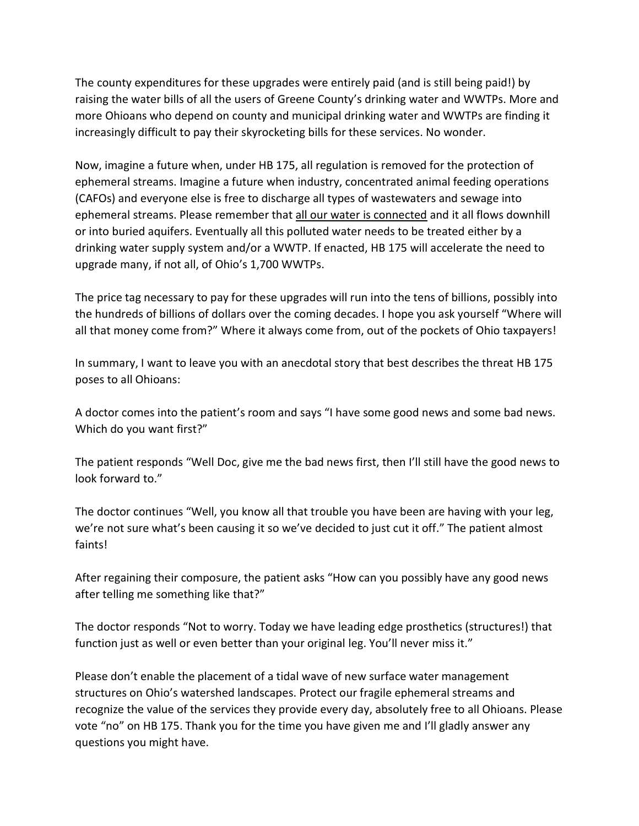The county expenditures for these upgrades were entirely paid (and is still being paid!) by raising the water bills of all the users of Greene County's drinking water and WWTPs. More and more Ohioans who depend on county and municipal drinking water and WWTPs are finding it increasingly difficult to pay their skyrocketing bills for these services. No wonder.

Now, imagine a future when, under HB 175, all regulation is removed for the protection of ephemeral streams. Imagine a future when industry, concentrated animal feeding operations (CAFOs) and everyone else is free to discharge all types of wastewaters and sewage into ephemeral streams. Please remember that all our water is connected and it all flows downhill or into buried aquifers. Eventually all this polluted water needs to be treated either by a drinking water supply system and/or a WWTP. If enacted, HB 175 will accelerate the need to upgrade many, if not all, of Ohio's 1,700 WWTPs.

The price tag necessary to pay for these upgrades will run into the tens of billions, possibly into the hundreds of billions of dollars over the coming decades. I hope you ask yourself "Where will all that money come from?" Where it always come from, out of the pockets of Ohio taxpayers!

In summary, I want to leave you with an anecdotal story that best describes the threat HB 175 poses to all Ohioans:

A doctor comes into the patient's room and says "I have some good news and some bad news. Which do you want first?"

The patient responds "Well Doc, give me the bad news first, then I'll still have the good news to look forward to."

The doctor continues "Well, you know all that trouble you have been are having with your leg, we're not sure what's been causing it so we've decided to just cut it off." The patient almost faints!

After regaining their composure, the patient asks "How can you possibly have any good news after telling me something like that?"

The doctor responds "Not to worry. Today we have leading edge prosthetics (structures!) that function just as well or even better than your original leg. You'll never miss it."

Please don't enable the placement of a tidal wave of new surface water management structures on Ohio's watershed landscapes. Protect our fragile ephemeral streams and recognize the value of the services they provide every day, absolutely free to all Ohioans. Please vote "no" on HB 175. Thank you for the time you have given me and I'll gladly answer any questions you might have.